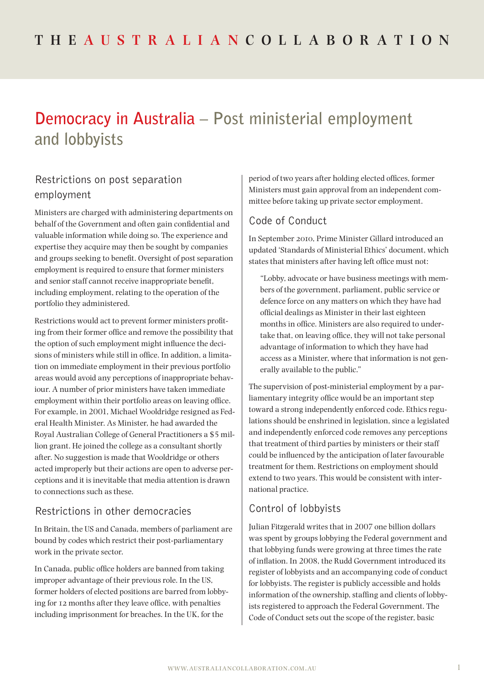# **Democracy in Australia – Post ministerial employment and lobbyists**

## Restrictions on post separation employment

Ministers are charged with administering departments on behalf of the Government and often gain confidential and valuable information while doing so. The experience and expertise they acquire may then be sought by companies and groups seeking to benefit. Oversight of post separation employment is required to ensure that former ministers and senior staff cannot receive inappropriate benefit, including employment, relating to the operation of the portfolio they administered.

Restrictions would act to prevent former ministers profiting from their former office and remove the possibility that the option of such employment might influence the decisions of ministers while still in office. In addition, a limitation on immediate employment in their previous portfolio areas would avoid any perceptions of inappropriate behaviour. A number of prior ministers have taken immediate employment within their portfolio areas on leaving office. For example, in 2001, Michael Wooldridge resigned as Federal Health Minister. As Minister, he had awarded the Royal Australian College of General Practitioners a \$5 million grant. He joined the college as a consultant shortly after. No suggestion is made that Wooldridge or others acted improperly but their actions are open to adverse perceptions and it is inevitable that media attention is drawn to connections such as these.

#### Restrictions in other democracies

In Britain, the US and Canada, members of parliament are bound by codes which restrict their post-parliamentary work in the private sector.

In Canada, public office holders are banned from taking improper advantage of their previous role. In the US, former holders of elected positions are barred from lobbying for 12 months after they leave office, with penalties including imprisonment for breaches. In the UK, for the

period of two years after holding elected offices, former Ministers must gain approval from an independent committee before taking up private sector employment.

## Code of Conduct

In September 2010, Prime Minister Gillard introduced an updated 'Standards of Ministerial Ethics' document, which states that ministers after having left office must not:

"Lobby, advocate or have business meetings with members of the government, parliament, public service or defence force on any matters on which they have had official dealings as Minister in their last eighteen months in office. Ministers are also required to undertake that, on leaving office, they will not take personal advantage of information to which they have had access as a Minister, where that information is not generally available to the public."

The supervision of post-ministerial employment by a parliamentary integrity office would be an important step toward a strong independently enforced code. Ethics regulations should be enshrined in legislation, since a legislated and independently enforced code removes any perceptions that treatment of third parties by ministers or their staff could be influenced by the anticipation of later favourable treatment for them. Restrictions on employment should extend to two years. This would be consistent with international practice.

## Control of lobbyists

Julian Fitzgerald writes that in 2007 one billion dollars was spent by groups lobbying the Federal government and that lobbying funds were growing at three times the rate of inflation. In 2008, the Rudd Government introduced its register of lobbyists and an accompanying code of conduct for lobbyists. The register is publicly accessible and holds information of the ownership, staffing and clients of lobbyists registered to approach the Federal Government. The Code of Conduct sets out the scope of the register, basic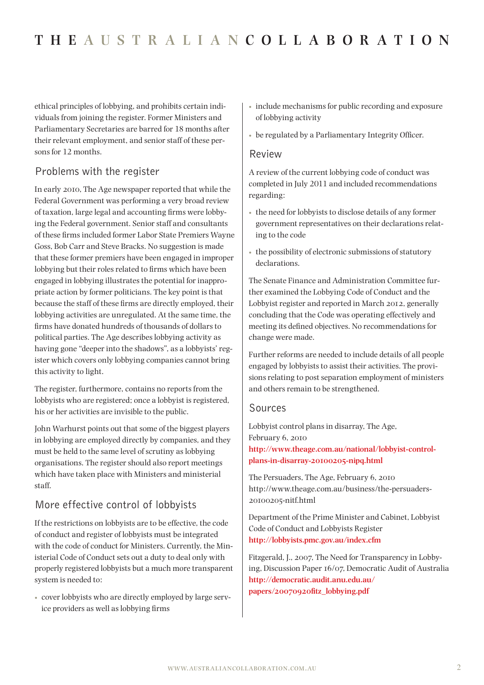ethical principles of lobbying, and prohibits certain individuals from joining the register. Former Ministers and Parliamentary Secretaries are barred for 18 months after their relevant employment, and senior staff of these persons for 12 months.

## Problems with the register

In early 2010, The Age newspaper reported that while the Federal Government was performing a very broad review of taxation, large legal and accounting firms were lobbying the Federal government. Senior staff and consultants of these firms included former Labor State Premiers Wayne Goss, Bob Carr and Steve Bracks. No suggestion is made that these former premiers have been engaged in improper lobbying but their roles related to firms which have been engaged in lobbying illustrates the potential for inappropriate action by former politicians. The key point is that because the staff of these firms are directly employed, their lobbying activities are unregulated. At the same time, the firms have donated hundreds of thousands of dollars to political parties. The Age describes lobbying activity as having gone "deeper into the shadows", as a lobbyists' register which covers only lobbying companies cannot bring this activity to light.

The register, furthermore, contains no reports from the lobbyists who are registered; once a lobbyist is registered, his or her activities are invisible to the public.

John Warhurst points out that some of the biggest players in lobbying are employed directly by companies, and they must be held to the same level of scrutiny as lobbying organisations. The register should also report meetings which have taken place with Ministers and ministerial staff.

# More effective control of lobbyists

If the restrictions on lobbyists are to be effective, the code of conduct and register of lobbyists must be integrated with the code of conduct for Ministers. Currently, the Ministerial Code of Conduct sets out a duty to deal only with properly registered lobbyists but a much more transparent system is needed to:

• cover lobbyists who are directly employed by large service providers as well as lobbying firms

- include mechanisms for public recording and exposure of lobbying activity
- be regulated by a Parliamentary Integrity Officer.

#### Review

A review of the current lobbying code of conduct was completed in July 2011 and included recommendations regarding:

- the need for lobbyists to disclose details of any former government representatives on their declarations relating to the code
- the possibility of electronic submissions of statutory declarations.

The Senate Finance and Administration Committee further examined the Lobbying Code of Conduct and the Lobbyist register and reported in March 2012, generally concluding that the Code was operating effectively and meeting its defined objectives. No recommendations for change were made.

Further reforms are needed to include details of all people engaged by lobbyists to assist their activities. The provisions relating to post separation employment of ministers and others remain to be strengthened.

#### Sources

Lobbyist control plans in disarray, The Age, February 6, 2010 **[http://www.theage.com.au/national/lobbyist-control](http://www.theage.com.au/national/lobbyist-control-plans-in-disarray-20100205-nipq.html)[plans-in-disarray-20100205-nipq.html](http://www.theage.com.au/national/lobbyist-control-plans-in-disarray-20100205-nipq.html)**

The Persuaders, The Age, February 6, 2010 http://www.theage.com.au/business/the-persuaders-20100205-nitf.html

Department of the Prime Minister and Cabinet, Lobbyist Code of Conduct and Lobbyists Register **<http://lobbyists.pmc.gov.au/index.cfm>**

Fitzgerald, J., 2007, The Need for Transparency in Lobbying, Discussion Paper 16/07, Democratic Audit of Australia **[http://democratic.audit.anu.edu.au/](http://democratic.audit.anu.edu.au/papers/20070920fitz_lobbying.pdf) [papers/20070920fitz\\_lobbying.pdf](http://democratic.audit.anu.edu.au/papers/20070920fitz_lobbying.pdf)**